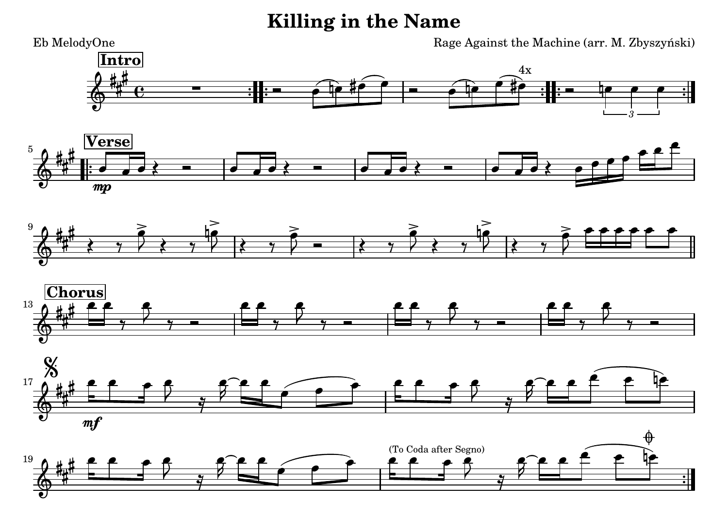**Killing in the Name**